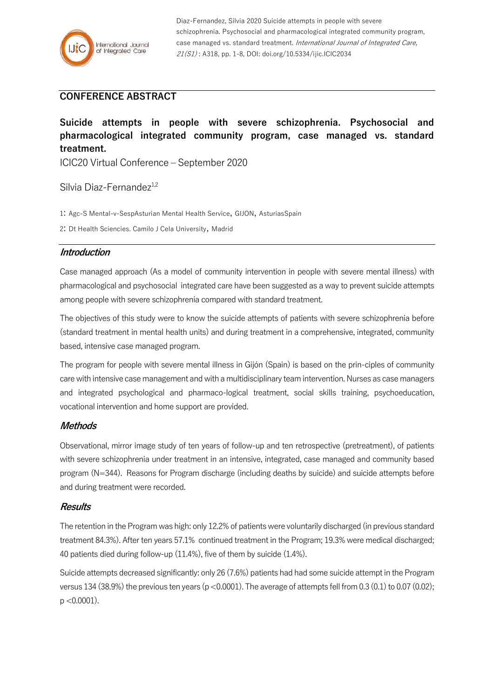

Diaz-Fernandez, Silvia 2020 Suicide attempts in people with severe schizophrenia. Psychosocial and pharmacological integrated community program, case managed vs. standard treatment. International Journal of Integrated Care, 21(S1) : A318, pp. 1-8, DOI: doi.org/10.5334/ijic.ICIC2034

# **CONFERENCE ABSTRACT**

**Suicide attempts in people with severe schizophrenia. Psychosocial and pharmacological integrated community program, case managed vs. standard treatment.**

ICIC20 Virtual Conference – September 2020

## Silvia Diaz-Fernandez $1,2$

1: Agc-S Mental-v-SespAsturian Mental Health Service, GIJON, AsturiasSpain

2: Dt Health Sciencies. Camilo J Cela University, Madrid

#### **Introduction**

Case managed approach (As a model of community intervention in people with severe mental illness) with pharmacological and psychosocial integrated care have been suggested as a way to prevent suicide attempts among people with severe schizophrenia compared with standard treatment.

The objectives of this study were to know the suicide attempts of patients with severe schizophrenia before (standard treatment in mental health units) and during treatment in a comprehensive, integrated, community based, intensive case managed program.

The program for people with severe mental illness in Gijón (Spain) is based on the prin-ciples of community care with intensive case management and with a multidisciplinary team intervention. Nurses as case managers and integrated psychological and pharmaco-logical treatment, social skills training, psychoeducation, vocational intervention and home support are provided.

#### **Methods**

Observational, mirror image study of ten years of follow-up and ten retrospective (pretreatment), of patients with severe schizophrenia under treatment in an intensive, integrated, case managed and community based program (N=344). Reasons for Program discharge (including deaths by suicide) and suicide attempts before and during treatment were recorded.

#### **Results**

The retention in the Program was high: only 12.2% of patients were voluntarily discharged (in previous standard treatment 84.3%). After ten years 57.1% continued treatment in the Program; 19.3% were medical discharged; 40 patients died during follow-up (11.4%), five of them by suicide (1.4%).

Suicide attempts decreased significantly: only 26 (7.6%) patients had had some suicide attempt in the Program versus 134 (38.9%) the previous ten years (p <0.0001). The average of attempts fell from 0.3 (0.1) to 0.07 (0.02);  $p < 0.0001$ ).